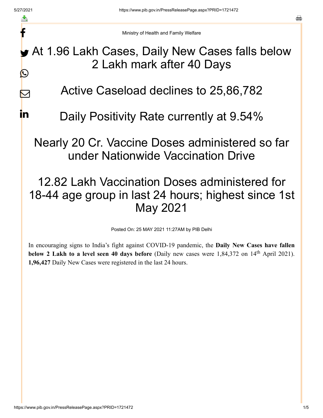f

 $\boldsymbol{\nabla}$ 

**i**n

a

Ministry of Health and Family Welfare

At 1.96 Lakh Cases, Daily New Cases falls below 2 Lakh mark after 40 Days  $\bigcirc$ 

Active Caseload declines to 25,86,782

Daily Positivity Rate currently at 9.54%

Nearly 20 Cr. Vaccine Doses administered so far under Nationwide Vaccination Drive

## 12.82 Lakh Vaccination Doses administered for 18-44 age group in last 24 hours; highest since 1st May 2021

Posted On: 25 MAY 2021 11:27AM by PIB Delhi

In encouraging signs to India's fight against COVID-19 pandemic, the **Daily New Cases have fallen below 2 Lakh to a level seen 40 days before** (Daily new cases were 1,84,372 on 14<sup>th</sup> April 2021). **1,96,427** Daily New Cases were registered in the last 24 hours.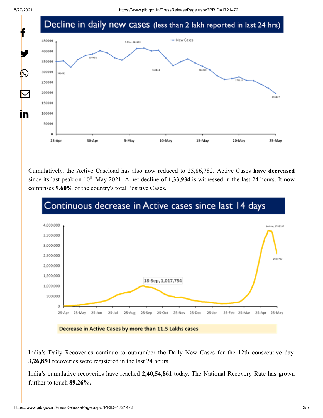

Cumulatively, the Active Caseload has also now reduced to 25,86,782. Active Cases **have decreased** since its last peak on  $10^{th}$  May 2021. A net decline of 1,33,934 is witnessed in the last 24 hours. It now comprises **9.60%** of the country's total Positive Cases.



India's Daily Recoveries continue to outnumber the Daily New Cases for the 12th consecutive day. **3,26,850** recoveries were registered in the last 24 hours.

India's cumulative recoveries have reached **2,40,54,861** today. The National Recovery Rate has grown further to touch **89.26%.**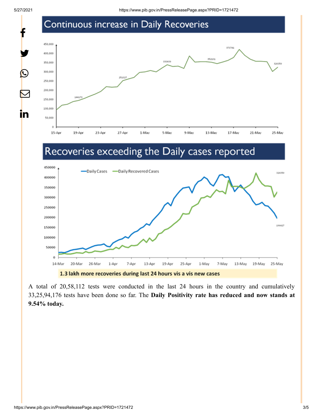f

y.

 $\bigcirc$ 

 $\bm{\nabla}$ 

in

## Continuous increase in Daily Recoveries



## Recoveries exceeding the Daily cases reported



A total of 20,58,112 tests were conducted in the last 24 hours in the country and cumulatively 33,25,94,176 tests have been done so far. The **Daily Positivity rate has reduced and now stands at 9.54% today.**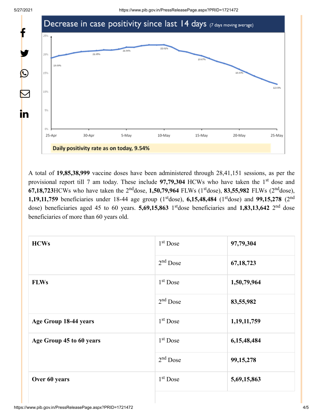

A total of **19,85,38,999** vaccine doses have been administered through 28,41,151 sessions, as per the provisional report till 7 am today. These include 97,79,304 HCWs who have taken the 1<sup>st</sup> dose and **67,18,723**HCWs who have taken the  $2^{nd}$ dose, 1,50,79,964 FLWs ( $1^{st}$ dose), 83,55,982 FLWs ( $2^{nd}$ dose), **1,19,11,759** beneficiaries under 18-44 age group ( $1<sup>st</sup>$ dose), **6,15,48,484** ( $1<sup>st</sup>$ dose) and **99,15,278** ( $2<sup>nd</sup>$ dose) beneficiaries aged 45 to 60 years. **5,69,15,863** 1<sup>st</sup>dose beneficiaries and **1,83,13,642** 2<sup>nd</sup> dose beneficiaries of more than 60 years old.

| <b>HCWs</b>              | $1st$ Dose | 97,79,304   |
|--------------------------|------------|-------------|
|                          | $2nd$ Dose | 67, 18, 723 |
| <b>FLWs</b>              | $1st$ Dose | 1,50,79,964 |
|                          | $2nd$ Dose | 83,55,982   |
| Age Group 18-44 years    | $1st$ Dose | 1,19,11,759 |
| Age Group 45 to 60 years | $1st$ Dose | 6,15,48,484 |
|                          | $2nd$ Dose | 99,15,278   |
| Over 60 years            | $1st$ Dose | 5,69,15,863 |
|                          |            |             |